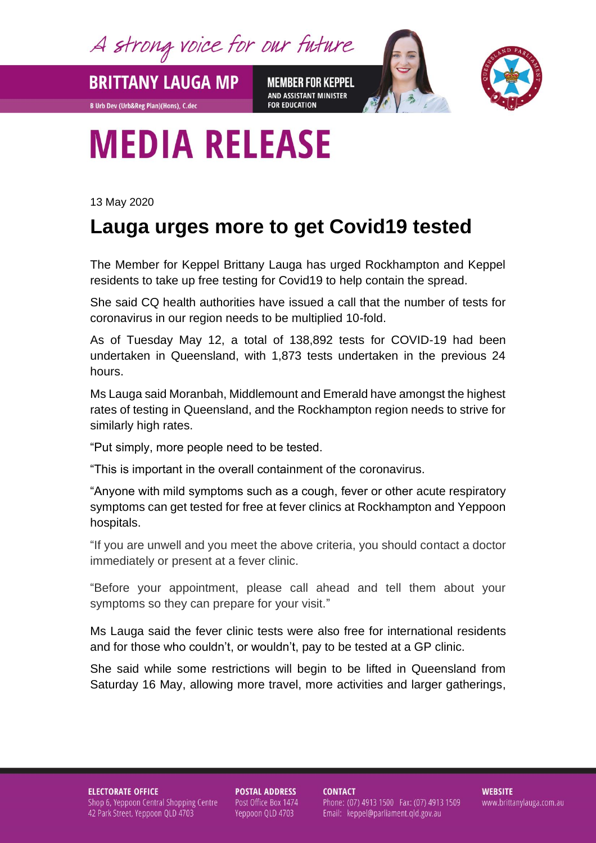A strong voice for our future

**BRITTANY LAUGA MP** 

**B Urb Dev (Urb&Reg Plan)(Hons), C.dec** 

**MEMBER FOR KEPPEL** AND ASSISTANT MINISTER **FOR EDUCATION** 



## **MEDIA RELEASE**

13 May 2020

## **Lauga urges more to get Covid19 tested**

The Member for Keppel Brittany Lauga has urged Rockhampton and Keppel residents to take up free testing for Covid19 to help contain the spread.

She said CQ health authorities have issued a call that the number of tests for coronavirus in our region needs to be multiplied 10-fold.

As of Tuesday May 12, a total of 138,892 tests for COVID-19 had been undertaken in Queensland, with 1,873 tests undertaken in the previous 24 hours.

Ms Lauga said Moranbah, Middlemount and Emerald have amongst the highest rates of testing in Queensland, and the Rockhampton region needs to strive for similarly high rates.

"Put simply, more people need to be tested.

"This is important in the overall containment of the coronavirus.

"Anyone with mild symptoms such as a cough, fever or other acute respiratory symptoms can get tested for free at fever clinics at Rockhampton and Yeppoon hospitals.

"If you are unwell and you meet the above criteria, you should contact a doctor immediately or present at a fever clinic.

"Before your appointment, please call ahead and tell them about your symptoms so they can prepare for your visit."

Ms Lauga said the fever clinic tests were also free for international residents and for those who couldn't, or wouldn't, pay to be tested at a GP clinic.

She said while some restrictions will begin to be lifted in Queensland from Saturday 16 May, allowing more travel, more activities and larger gatherings,

**ELECTORATE OFFICE** Shop 6, Yeppoon Central Shopping Centre 42 Park Street, Yeppoon QLD 4703

**POSTAL ADDRESS** Post Office Box 1474 Yeppoon QLD 4703

**CONTACT** Phone: (07) 4913 1500 Fax: (07) 4913 1509 Email: keppel@parliament.qld.gov.au

**WEBSITE** www.brittanylauga.com.au